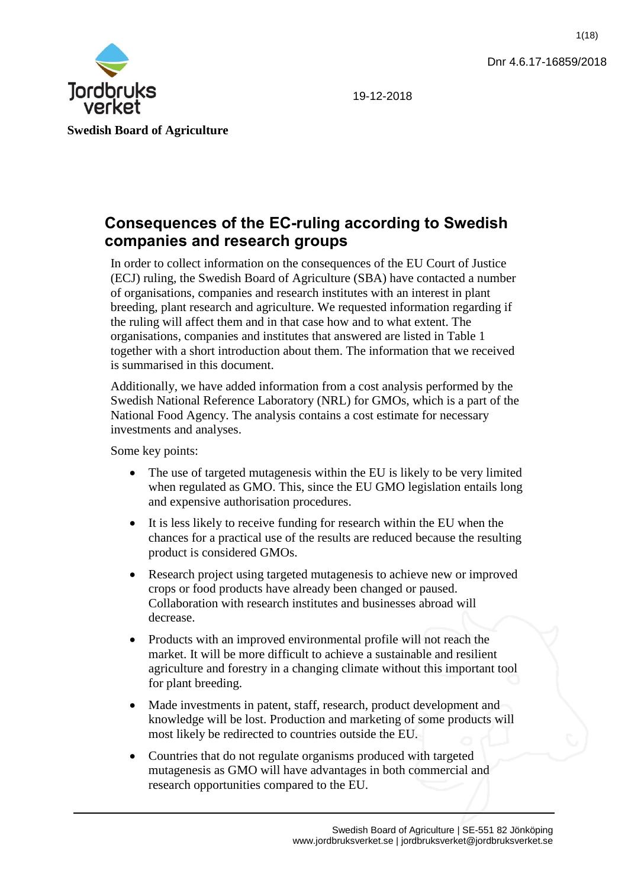1(18)



19-12-2018

# **Consequences of the EC-ruling according to Swedish companies and research groups**

In order to collect information on the consequences of the EU Court of Justice (ECJ) ruling, the Swedish Board of Agriculture (SBA) have contacted a number of organisations, companies and research institutes with an interest in plant breeding, plant research and agriculture. We requested information regarding if the ruling will affect them and in that case how and to what extent. The organisations, companies and institutes that answered are listed in Table 1 together with a short introduction about them. The information that we received is summarised in this document.

Additionally, we have added information from a cost analysis performed by the Swedish National Reference Laboratory (NRL) for GMOs, which is a part of the National Food Agency. The analysis contains a cost estimate for necessary investments and analyses.

Some key points:

- The use of targeted mutagenesis within the EU is likely to be very limited when regulated as GMO. This, since the EU GMO legislation entails long and expensive authorisation procedures.
- It is less likely to receive funding for research within the EU when the chances for a practical use of the results are reduced because the resulting product is considered GMOs.
- Research project using targeted mutagenesis to achieve new or improved crops or food products have already been changed or paused. Collaboration with research institutes and businesses abroad will decrease.
- Products with an improved environmental profile will not reach the market. It will be more difficult to achieve a sustainable and resilient agriculture and forestry in a changing climate without this important tool for plant breeding.
- Made investments in patent, staff, research, product development and knowledge will be lost. Production and marketing of some products will most likely be redirected to countries outside the EU.
- Countries that do not regulate organisms produced with targeted mutagenesis as GMO will have advantages in both commercial and research opportunities compared to the EU.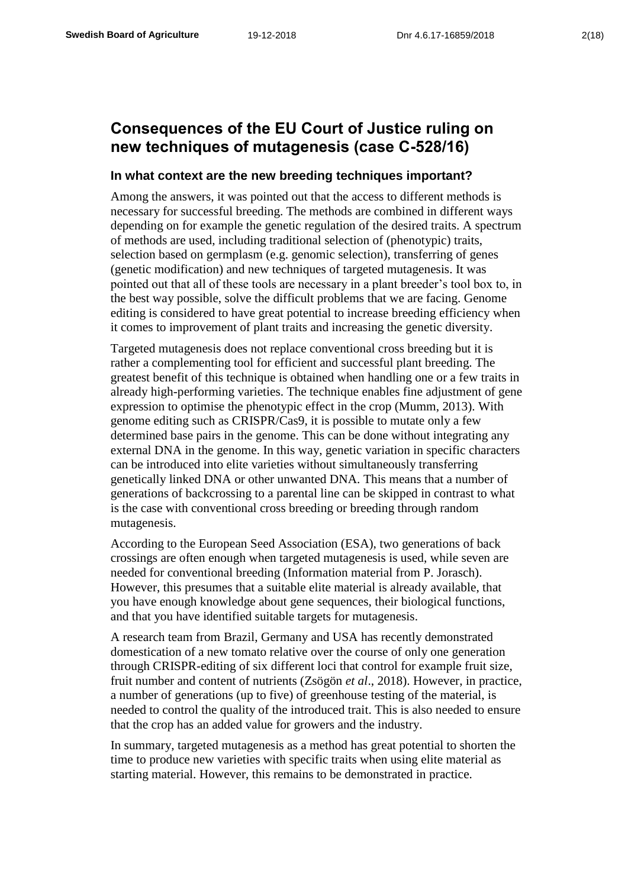## **Consequences of the EU Court of Justice ruling on new techniques of mutagenesis (case C-528/16)**

## **In what context are the new breeding techniques important?**

Among the answers, it was pointed out that the access to different methods is necessary for successful breeding. The methods are combined in different ways depending on for example the genetic regulation of the desired traits. A spectrum of methods are used, including traditional selection of (phenotypic) traits, selection based on germplasm (e.g. genomic selection), transferring of genes (genetic modification) and new techniques of targeted mutagenesis. It was pointed out that all of these tools are necessary in a plant breeder's tool box to, in the best way possible, solve the difficult problems that we are facing. Genome editing is considered to have great potential to increase breeding efficiency when it comes to improvement of plant traits and increasing the genetic diversity.

Targeted mutagenesis does not replace conventional cross breeding but it is rather a complementing tool for efficient and successful plant breeding. The greatest benefit of this technique is obtained when handling one or a few traits in already high-performing varieties. The technique enables fine adjustment of gene expression to optimise the phenotypic effect in the crop (Mumm, 2013). With genome editing such as CRISPR/Cas9, it is possible to mutate only a few determined base pairs in the genome. This can be done without integrating any external DNA in the genome. In this way, genetic variation in specific characters can be introduced into elite varieties without simultaneously transferring genetically linked DNA or other unwanted DNA. This means that a number of generations of backcrossing to a parental line can be skipped in contrast to what is the case with conventional cross breeding or breeding through random mutagenesis.

According to the European Seed Association (ESA), two generations of back crossings are often enough when targeted mutagenesis is used, while seven are needed for conventional breeding (Information material from P. Jorasch). However, this presumes that a suitable elite material is already available, that you have enough knowledge about gene sequences, their biological functions, and that you have identified suitable targets for mutagenesis.

A research team from Brazil, Germany and USA has recently demonstrated domestication of a new tomato relative over the course of only one generation through CRISPR-editing of six different loci that control for example fruit size, fruit number and content of nutrients (Zsögön *et al*., 2018). However, in practice, a number of generations (up to five) of greenhouse testing of the material, is needed to control the quality of the introduced trait. This is also needed to ensure that the crop has an added value for growers and the industry.

In summary, targeted mutagenesis as a method has great potential to shorten the time to produce new varieties with specific traits when using elite material as starting material. However, this remains to be demonstrated in practice.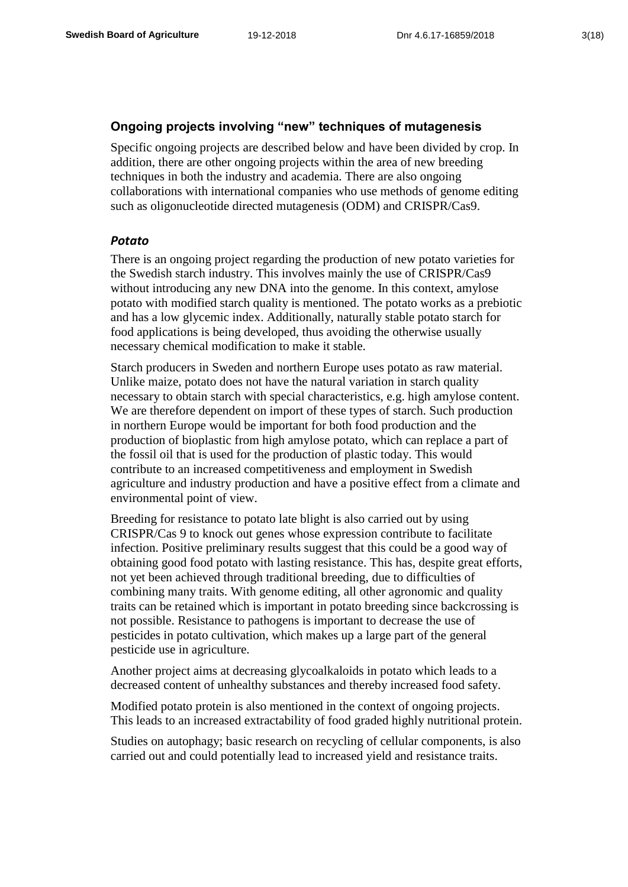## **Ongoing projects involving "new" techniques of mutagenesis**

Specific ongoing projects are described below and have been divided by crop. In addition, there are other ongoing projects within the area of new breeding techniques in both the industry and academia. There are also ongoing collaborations with international companies who use methods of genome editing such as oligonucleotide directed mutagenesis (ODM) and CRISPR/Cas9.

## *Potato*

There is an ongoing project regarding the production of new potato varieties for the Swedish starch industry. This involves mainly the use of CRISPR/Cas9 without introducing any new DNA into the genome. In this context, amylose potato with modified starch quality is mentioned. The potato works as a prebiotic and has a low glycemic index. Additionally, naturally stable potato starch for food applications is being developed, thus avoiding the otherwise usually necessary chemical modification to make it stable.

Starch producers in Sweden and northern Europe uses potato as raw material. Unlike maize, potato does not have the natural variation in starch quality necessary to obtain starch with special characteristics, e.g. high amylose content. We are therefore dependent on import of these types of starch. Such production in northern Europe would be important for both food production and the production of bioplastic from high amylose potato, which can replace a part of the fossil oil that is used for the production of plastic today. This would contribute to an increased competitiveness and employment in Swedish agriculture and industry production and have a positive effect from a climate and environmental point of view.

Breeding for resistance to potato late blight is also carried out by using CRISPR/Cas 9 to knock out genes whose expression contribute to facilitate infection. Positive preliminary results suggest that this could be a good way of obtaining good food potato with lasting resistance. This has, despite great efforts, not yet been achieved through traditional breeding, due to difficulties of combining many traits. With genome editing, all other agronomic and quality traits can be retained which is important in potato breeding since backcrossing is not possible. Resistance to pathogens is important to decrease the use of pesticides in potato cultivation, which makes up a large part of the general pesticide use in agriculture.

Another project aims at decreasing glycoalkaloids in potato which leads to a decreased content of unhealthy substances and thereby increased food safety.

Modified potato protein is also mentioned in the context of ongoing projects. This leads to an increased extractability of food graded highly nutritional protein.

Studies on autophagy; basic research on recycling of cellular components, is also carried out and could potentially lead to increased yield and resistance traits.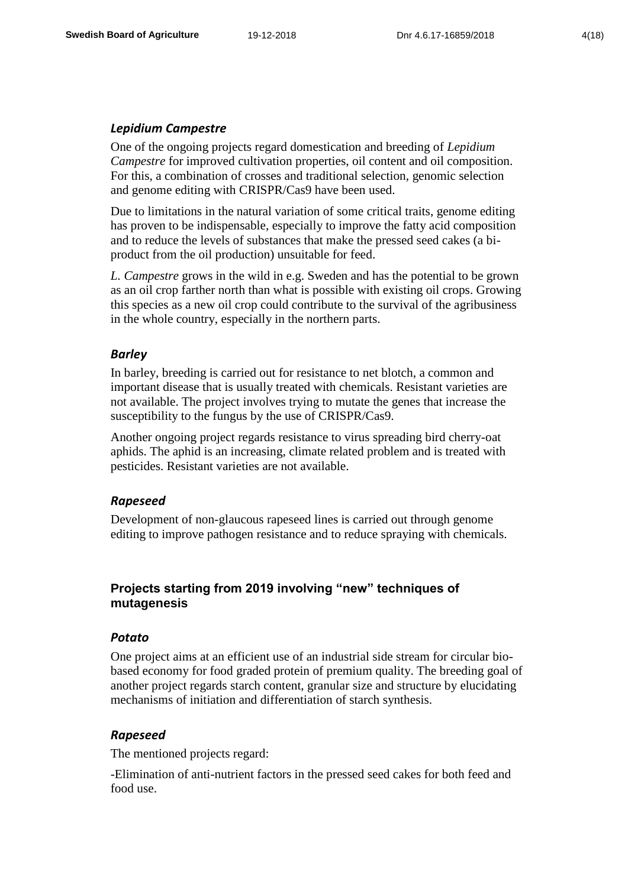## *Lepidium Campestre*

One of the ongoing projects regard domestication and breeding of *Lepidium Campestre* for improved cultivation properties, oil content and oil composition. For this, a combination of crosses and traditional selection, genomic selection and genome editing with CRISPR/Cas9 have been used.

Due to limitations in the natural variation of some critical traits, genome editing has proven to be indispensable, especially to improve the fatty acid composition and to reduce the levels of substances that make the pressed seed cakes (a biproduct from the oil production) unsuitable for feed.

*L. Campestre* grows in the wild in e.g. Sweden and has the potential to be grown as an oil crop farther north than what is possible with existing oil crops. Growing this species as a new oil crop could contribute to the survival of the agribusiness in the whole country, especially in the northern parts.

#### *Barley*

In barley, breeding is carried out for resistance to net blotch, a common and important disease that is usually treated with chemicals. Resistant varieties are not available. The project involves trying to mutate the genes that increase the susceptibility to the fungus by the use of CRISPR/Cas9.

Another ongoing project regards resistance to virus spreading bird cherry-oat aphids. The aphid is an increasing, climate related problem and is treated with pesticides. Resistant varieties are not available.

#### *Rapeseed*

Development of non-glaucous rapeseed lines is carried out through genome editing to improve pathogen resistance and to reduce spraying with chemicals.

## **Projects starting from 2019 involving "new" techniques of mutagenesis**

#### *Potato*

One project aims at an efficient use of an industrial side stream for circular biobased economy for food graded protein of premium quality. The breeding goal of another project regards starch content, granular size and structure by elucidating mechanisms of initiation and differentiation of starch synthesis.

## *Rapeseed*

The mentioned projects regard:

-Elimination of anti-nutrient factors in the pressed seed cakes for both feed and food use.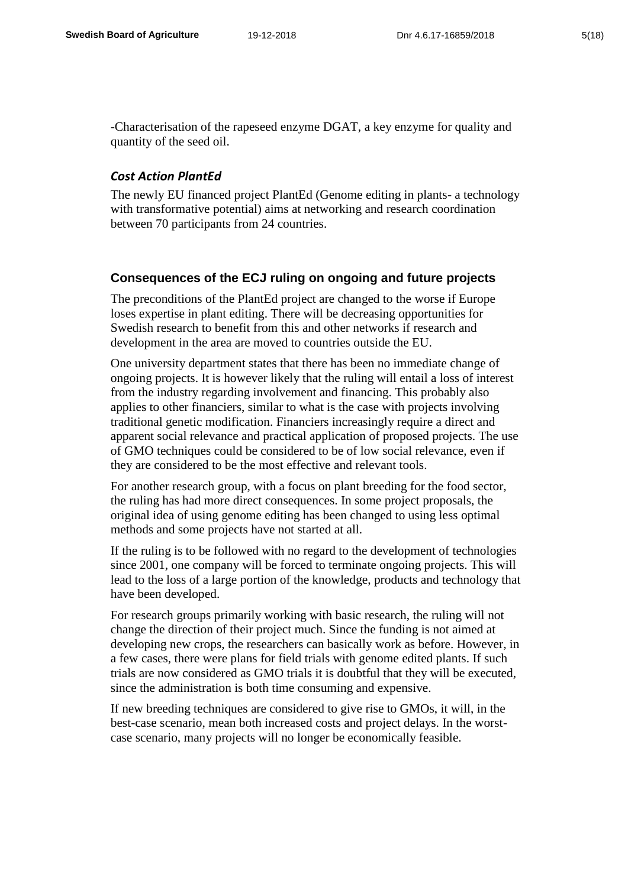-Characterisation of the rapeseed enzyme DGAT, a key enzyme for quality and quantity of the seed oil.

#### *Cost Action PlantEd*

The newly EU financed project PlantEd (Genome editing in plants- a technology with transformative potential) aims at networking and research coordination between 70 participants from 24 countries.

#### **Consequences of the ECJ ruling on ongoing and future projects**

The preconditions of the PlantEd project are changed to the worse if Europe loses expertise in plant editing. There will be decreasing opportunities for Swedish research to benefit from this and other networks if research and development in the area are moved to countries outside the EU.

One university department states that there has been no immediate change of ongoing projects. It is however likely that the ruling will entail a loss of interest from the industry regarding involvement and financing. This probably also applies to other financiers, similar to what is the case with projects involving traditional genetic modification. Financiers increasingly require a direct and apparent social relevance and practical application of proposed projects. The use of GMO techniques could be considered to be of low social relevance, even if they are considered to be the most effective and relevant tools.

For another research group, with a focus on plant breeding for the food sector, the ruling has had more direct consequences. In some project proposals, the original idea of using genome editing has been changed to using less optimal methods and some projects have not started at all.

If the ruling is to be followed with no regard to the development of technologies since 2001, one company will be forced to terminate ongoing projects. This will lead to the loss of a large portion of the knowledge, products and technology that have been developed.

For research groups primarily working with basic research, the ruling will not change the direction of their project much. Since the funding is not aimed at developing new crops, the researchers can basically work as before. However, in a few cases, there were plans for field trials with genome edited plants. If such trials are now considered as GMO trials it is doubtful that they will be executed, since the administration is both time consuming and expensive.

If new breeding techniques are considered to give rise to GMOs, it will, in the best-case scenario, mean both increased costs and project delays. In the worstcase scenario, many projects will no longer be economically feasible.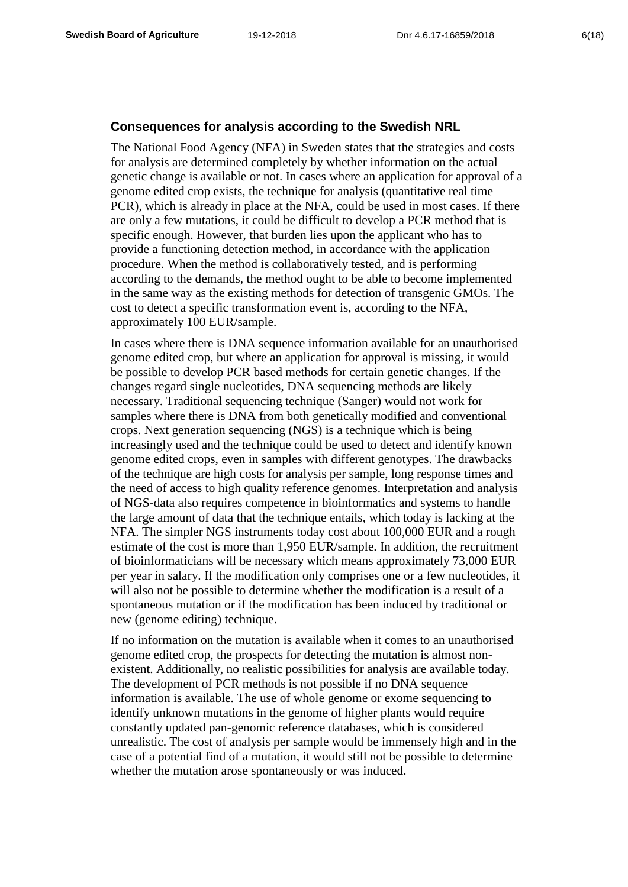#### **Consequences for analysis according to the Swedish NRL**

The National Food Agency (NFA) in Sweden states that the strategies and costs for analysis are determined completely by whether information on the actual genetic change is available or not. In cases where an application for approval of a genome edited crop exists, the technique for analysis (quantitative real time PCR), which is already in place at the NFA, could be used in most cases. If there are only a few mutations, it could be difficult to develop a PCR method that is specific enough. However, that burden lies upon the applicant who has to provide a functioning detection method, in accordance with the application procedure. When the method is collaboratively tested, and is performing according to the demands, the method ought to be able to become implemented in the same way as the existing methods for detection of transgenic GMOs. The cost to detect a specific transformation event is, according to the NFA, approximately 100 EUR/sample.

In cases where there is DNA sequence information available for an unauthorised genome edited crop, but where an application for approval is missing, it would be possible to develop PCR based methods for certain genetic changes. If the changes regard single nucleotides, DNA sequencing methods are likely necessary. Traditional sequencing technique (Sanger) would not work for samples where there is DNA from both genetically modified and conventional crops. Next generation sequencing (NGS) is a technique which is being increasingly used and the technique could be used to detect and identify known genome edited crops, even in samples with different genotypes. The drawbacks of the technique are high costs for analysis per sample, long response times and the need of access to high quality reference genomes. Interpretation and analysis of NGS-data also requires competence in bioinformatics and systems to handle the large amount of data that the technique entails, which today is lacking at the NFA. The simpler NGS instruments today cost about 100,000 EUR and a rough estimate of the cost is more than 1,950 EUR/sample. In addition, the recruitment of bioinformaticians will be necessary which means approximately 73,000 EUR per year in salary. If the modification only comprises one or a few nucleotides, it will also not be possible to determine whether the modification is a result of a spontaneous mutation or if the modification has been induced by traditional or new (genome editing) technique.

If no information on the mutation is available when it comes to an unauthorised genome edited crop, the prospects for detecting the mutation is almost nonexistent. Additionally, no realistic possibilities for analysis are available today. The development of PCR methods is not possible if no DNA sequence information is available. The use of whole genome or exome sequencing to identify unknown mutations in the genome of higher plants would require constantly updated pan-genomic reference databases, which is considered unrealistic. The cost of analysis per sample would be immensely high and in the case of a potential find of a mutation, it would still not be possible to determine whether the mutation arose spontaneously or was induced.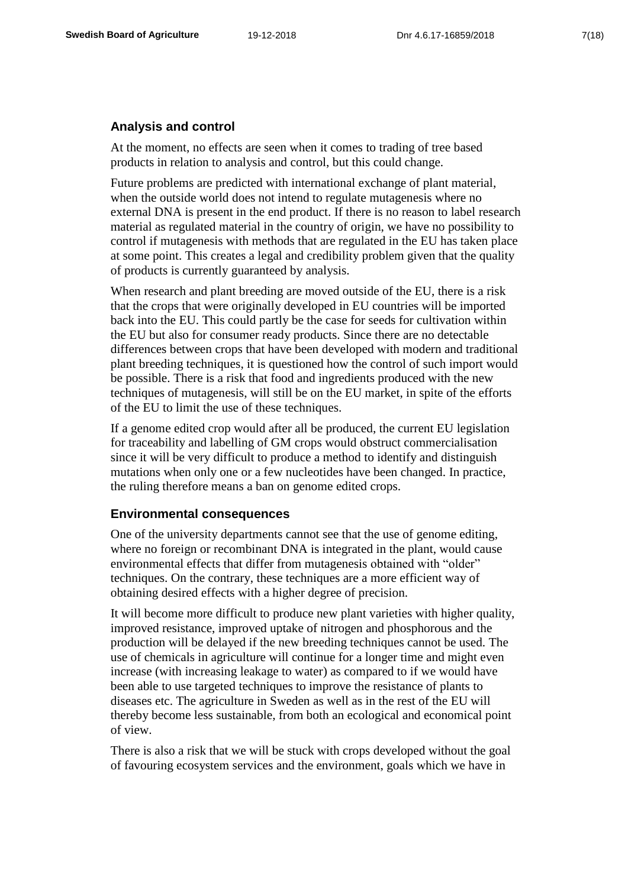## **Analysis and control**

At the moment, no effects are seen when it comes to trading of tree based products in relation to analysis and control, but this could change.

Future problems are predicted with international exchange of plant material, when the outside world does not intend to regulate mutagenesis where no external DNA is present in the end product. If there is no reason to label research material as regulated material in the country of origin, we have no possibility to control if mutagenesis with methods that are regulated in the EU has taken place at some point. This creates a legal and credibility problem given that the quality of products is currently guaranteed by analysis.

When research and plant breeding are moved outside of the EU, there is a risk that the crops that were originally developed in EU countries will be imported back into the EU. This could partly be the case for seeds for cultivation within the EU but also for consumer ready products. Since there are no detectable differences between crops that have been developed with modern and traditional plant breeding techniques, it is questioned how the control of such import would be possible. There is a risk that food and ingredients produced with the new techniques of mutagenesis, will still be on the EU market, in spite of the efforts of the EU to limit the use of these techniques.

If a genome edited crop would after all be produced, the current EU legislation for traceability and labelling of GM crops would obstruct commercialisation since it will be very difficult to produce a method to identify and distinguish mutations when only one or a few nucleotides have been changed. In practice, the ruling therefore means a ban on genome edited crops.

#### **Environmental consequences**

One of the university departments cannot see that the use of genome editing, where no foreign or recombinant DNA is integrated in the plant, would cause environmental effects that differ from mutagenesis obtained with "older" techniques. On the contrary, these techniques are a more efficient way of obtaining desired effects with a higher degree of precision.

It will become more difficult to produce new plant varieties with higher quality, improved resistance, improved uptake of nitrogen and phosphorous and the production will be delayed if the new breeding techniques cannot be used. The use of chemicals in agriculture will continue for a longer time and might even increase (with increasing leakage to water) as compared to if we would have been able to use targeted techniques to improve the resistance of plants to diseases etc. The agriculture in Sweden as well as in the rest of the EU will thereby become less sustainable, from both an ecological and economical point of view.

There is also a risk that we will be stuck with crops developed without the goal of favouring ecosystem services and the environment, goals which we have in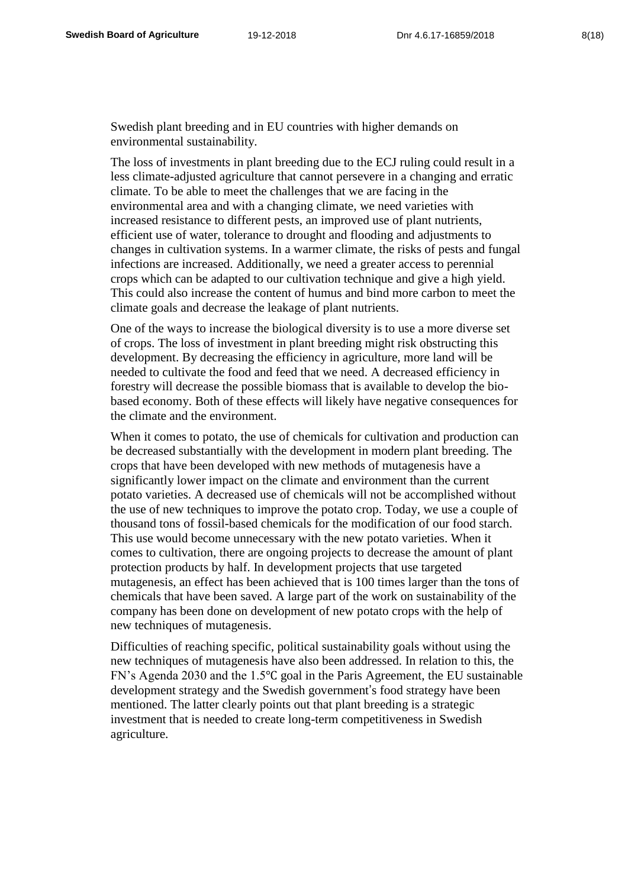Swedish plant breeding and in EU countries with higher demands on environmental sustainability.

The loss of investments in plant breeding due to the ECJ ruling could result in a less climate-adjusted agriculture that cannot persevere in a changing and erratic climate. To be able to meet the challenges that we are facing in the environmental area and with a changing climate, we need varieties with increased resistance to different pests, an improved use of plant nutrients, efficient use of water, tolerance to drought and flooding and adjustments to changes in cultivation systems. In a warmer climate, the risks of pests and fungal infections are increased. Additionally, we need a greater access to perennial crops which can be adapted to our cultivation technique and give a high yield. This could also increase the content of humus and bind more carbon to meet the climate goals and decrease the leakage of plant nutrients.

One of the ways to increase the biological diversity is to use a more diverse set of crops. The loss of investment in plant breeding might risk obstructing this development. By decreasing the efficiency in agriculture, more land will be needed to cultivate the food and feed that we need. A decreased efficiency in forestry will decrease the possible biomass that is available to develop the biobased economy. Both of these effects will likely have negative consequences for the climate and the environment.

When it comes to potato, the use of chemicals for cultivation and production can be decreased substantially with the development in modern plant breeding. The crops that have been developed with new methods of mutagenesis have a significantly lower impact on the climate and environment than the current potato varieties. A decreased use of chemicals will not be accomplished without the use of new techniques to improve the potato crop. Today, we use a couple of thousand tons of fossil-based chemicals for the modification of our food starch. This use would become unnecessary with the new potato varieties. When it comes to cultivation, there are ongoing projects to decrease the amount of plant protection products by half. In development projects that use targeted mutagenesis, an effect has been achieved that is 100 times larger than the tons of chemicals that have been saved. A large part of the work on sustainability of the company has been done on development of new potato crops with the help of new techniques of mutagenesis.

Difficulties of reaching specific, political sustainability goals without using the new techniques of mutagenesis have also been addressed. In relation to this, the FN's Agenda 2030 and the 1.5℃ goal in the Paris Agreement, the EU sustainable development strategy and the Swedish government's food strategy have been mentioned. The latter clearly points out that plant breeding is a strategic investment that is needed to create long-term competitiveness in Swedish agriculture.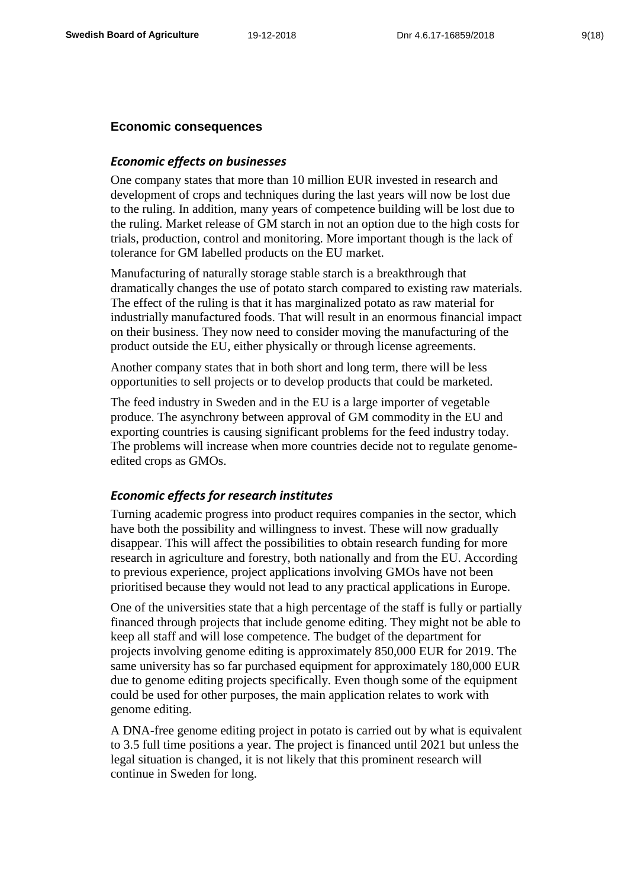## **Economic consequences**

## *Economic effects on businesses*

One company states that more than 10 million EUR invested in research and development of crops and techniques during the last years will now be lost due to the ruling. In addition, many years of competence building will be lost due to the ruling. Market release of GM starch in not an option due to the high costs for trials, production, control and monitoring. More important though is the lack of tolerance for GM labelled products on the EU market.

Manufacturing of naturally storage stable starch is a breakthrough that dramatically changes the use of potato starch compared to existing raw materials. The effect of the ruling is that it has marginalized potato as raw material for industrially manufactured foods. That will result in an enormous financial impact on their business. They now need to consider moving the manufacturing of the product outside the EU, either physically or through license agreements.

Another company states that in both short and long term, there will be less opportunities to sell projects or to develop products that could be marketed.

The feed industry in Sweden and in the EU is a large importer of vegetable produce. The asynchrony between approval of GM commodity in the EU and exporting countries is causing significant problems for the feed industry today. The problems will increase when more countries decide not to regulate genomeedited crops as GMOs.

#### *Economic effects for research institutes*

Turning academic progress into product requires companies in the sector, which have both the possibility and willingness to invest. These will now gradually disappear. This will affect the possibilities to obtain research funding for more research in agriculture and forestry, both nationally and from the EU. According to previous experience, project applications involving GMOs have not been prioritised because they would not lead to any practical applications in Europe.

One of the universities state that a high percentage of the staff is fully or partially financed through projects that include genome editing. They might not be able to keep all staff and will lose competence. The budget of the department for projects involving genome editing is approximately 850,000 EUR for 2019. The same university has so far purchased equipment for approximately 180,000 EUR due to genome editing projects specifically. Even though some of the equipment could be used for other purposes, the main application relates to work with genome editing.

A DNA-free genome editing project in potato is carried out by what is equivalent to 3.5 full time positions a year. The project is financed until 2021 but unless the legal situation is changed, it is not likely that this prominent research will continue in Sweden for long.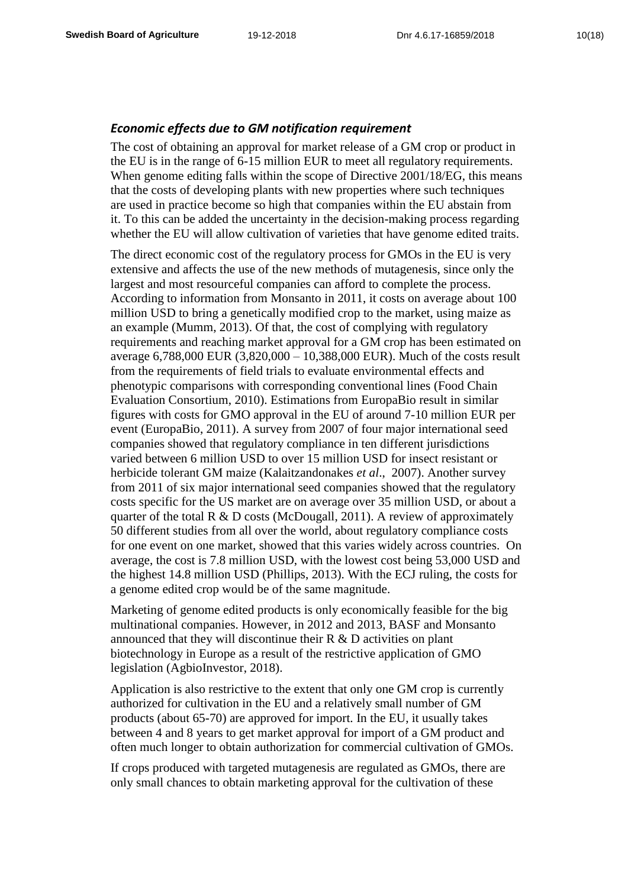## *Economic effects due to GM notification requirement*

The cost of obtaining an approval for market release of a GM crop or product in the EU is in the range of 6-15 million EUR to meet all regulatory requirements. When genome editing falls within the scope of Directive 2001/18/EG, this means that the costs of developing plants with new properties where such techniques are used in practice become so high that companies within the EU abstain from it. To this can be added the uncertainty in the decision-making process regarding whether the EU will allow cultivation of varieties that have genome edited traits.

The direct economic cost of the regulatory process for GMOs in the EU is very extensive and affects the use of the new methods of mutagenesis, since only the largest and most resourceful companies can afford to complete the process. According to information from Monsanto in 2011, it costs on average about 100 million USD to bring a genetically modified crop to the market, using maize as an example (Mumm, 2013). Of that, the cost of complying with regulatory requirements and reaching market approval for a GM crop has been estimated on average 6,788,000 EUR (3,820,000 – 10,388,000 EUR). Much of the costs result from the requirements of field trials to evaluate environmental effects and phenotypic comparisons with corresponding conventional lines (Food Chain Evaluation Consortium, 2010). Estimations from EuropaBio result in similar figures with costs for GMO approval in the EU of around 7-10 million EUR per event (EuropaBio, 2011). A survey from 2007 of four major international seed companies showed that regulatory compliance in ten different jurisdictions varied between 6 million USD to over 15 million USD for insect resistant or herbicide tolerant GM maize (Kalaitzandonakes *et al*., 2007). Another survey from 2011 of six major international seed companies showed that the regulatory costs specific for the US market are on average over 35 million USD, or about a quarter of the total R & D costs (McDougall, 2011). A review of approximately 50 different studies from all over the world, about regulatory compliance costs for one event on one market, showed that this varies widely across countries. On average, the cost is 7.8 million USD, with the lowest cost being 53,000 USD and the highest 14.8 million USD (Phillips, 2013). With the ECJ ruling, the costs for a genome edited crop would be of the same magnitude.

Marketing of genome edited products is only economically feasible for the big multinational companies. However, in 2012 and 2013, BASF and Monsanto announced that they will discontinue their  $R \& D$  activities on plant biotechnology in Europe as a result of the restrictive application of GMO legislation (AgbioInvestor, 2018).

Application is also restrictive to the extent that only one GM crop is currently authorized for cultivation in the EU and a relatively small number of GM products (about 65-70) are approved for import. In the EU, it usually takes between 4 and 8 years to get market approval for import of a GM product and often much longer to obtain authorization for commercial cultivation of GMOs.

If crops produced with targeted mutagenesis are regulated as GMOs, there are only small chances to obtain marketing approval for the cultivation of these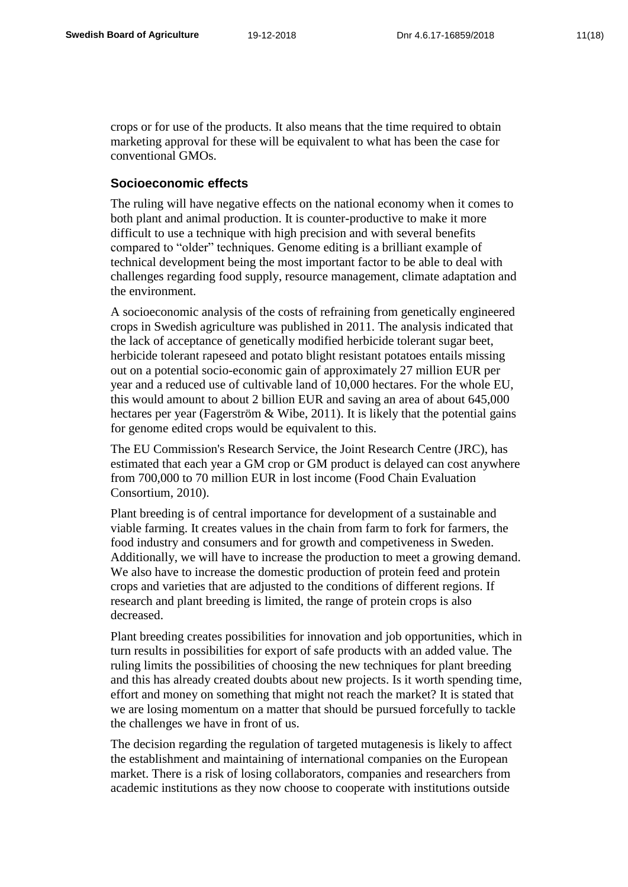crops or for use of the products. It also means that the time required to obtain marketing approval for these will be equivalent to what has been the case for conventional GMOs.

## **Socioeconomic effects**

The ruling will have negative effects on the national economy when it comes to both plant and animal production. It is counter-productive to make it more difficult to use a technique with high precision and with several benefits compared to "older" techniques. Genome editing is a brilliant example of technical development being the most important factor to be able to deal with challenges regarding food supply, resource management, climate adaptation and the environment.

A socioeconomic analysis of the costs of refraining from genetically engineered crops in Swedish agriculture was published in 2011. The analysis indicated that the lack of acceptance of genetically modified herbicide tolerant sugar beet, herbicide tolerant rapeseed and potato blight resistant potatoes entails missing out on a potential socio-economic gain of approximately 27 million EUR per year and a reduced use of cultivable land of 10,000 hectares. For the whole EU, this would amount to about 2 billion EUR and saving an area of about 645,000 hectares per year (Fagerström & Wibe, 2011). It is likely that the potential gains for genome edited crops would be equivalent to this.

The EU Commission's Research Service, the Joint Research Centre (JRC), has estimated that each year a GM crop or GM product is delayed can cost anywhere from 700,000 to 70 million EUR in lost income (Food Chain Evaluation Consortium, 2010).

Plant breeding is of central importance for development of a sustainable and viable farming. It creates values in the chain from farm to fork for farmers, the food industry and consumers and for growth and competiveness in Sweden. Additionally, we will have to increase the production to meet a growing demand. We also have to increase the domestic production of protein feed and protein crops and varieties that are adjusted to the conditions of different regions. If research and plant breeding is limited, the range of protein crops is also decreased.

Plant breeding creates possibilities for innovation and job opportunities, which in turn results in possibilities for export of safe products with an added value. The ruling limits the possibilities of choosing the new techniques for plant breeding and this has already created doubts about new projects. Is it worth spending time, effort and money on something that might not reach the market? It is stated that we are losing momentum on a matter that should be pursued forcefully to tackle the challenges we have in front of us.

The decision regarding the regulation of targeted mutagenesis is likely to affect the establishment and maintaining of international companies on the European market. There is a risk of losing collaborators, companies and researchers from academic institutions as they now choose to cooperate with institutions outside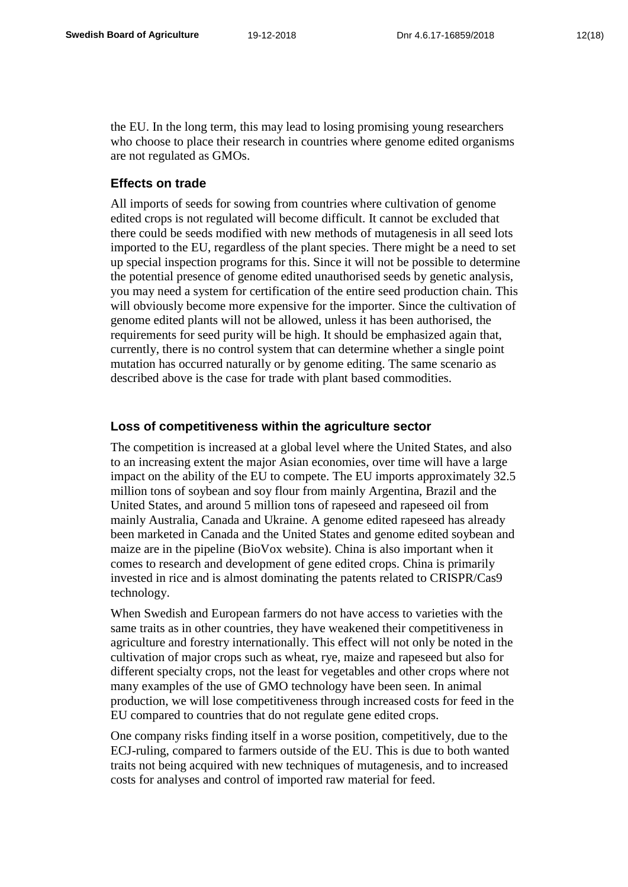the EU. In the long term, this may lead to losing promising young researchers who choose to place their research in countries where genome edited organisms are not regulated as GMOs.

## **Effects on trade**

All imports of seeds for sowing from countries where cultivation of genome edited crops is not regulated will become difficult. It cannot be excluded that there could be seeds modified with new methods of mutagenesis in all seed lots imported to the EU, regardless of the plant species. There might be a need to set up special inspection programs for this. Since it will not be possible to determine the potential presence of genome edited unauthorised seeds by genetic analysis, you may need a system for certification of the entire seed production chain. This will obviously become more expensive for the importer. Since the cultivation of genome edited plants will not be allowed, unless it has been authorised, the requirements for seed purity will be high. It should be emphasized again that, currently, there is no control system that can determine whether a single point mutation has occurred naturally or by genome editing. The same scenario as described above is the case for trade with plant based commodities.

## **Loss of competitiveness within the agriculture sector**

The competition is increased at a global level where the United States, and also to an increasing extent the major Asian economies, over time will have a large impact on the ability of the EU to compete. The EU imports approximately 32.5 million tons of soybean and soy flour from mainly Argentina, Brazil and the United States, and around 5 million tons of rapeseed and rapeseed oil from mainly Australia, Canada and Ukraine. A genome edited rapeseed has already been marketed in Canada and the United States and genome edited soybean and maize are in the pipeline (BioVox website). China is also important when it comes to research and development of gene edited crops. China is primarily invested in rice and is almost dominating the patents related to CRISPR/Cas9 technology.

When Swedish and European farmers do not have access to varieties with the same traits as in other countries, they have weakened their competitiveness in agriculture and forestry internationally. This effect will not only be noted in the cultivation of major crops such as wheat, rye, maize and rapeseed but also for different specialty crops, not the least for vegetables and other crops where not many examples of the use of GMO technology have been seen. In animal production, we will lose competitiveness through increased costs for feed in the EU compared to countries that do not regulate gene edited crops.

One company risks finding itself in a worse position, competitively, due to the ECJ-ruling, compared to farmers outside of the EU. This is due to both wanted traits not being acquired with new techniques of mutagenesis, and to increased costs for analyses and control of imported raw material for feed.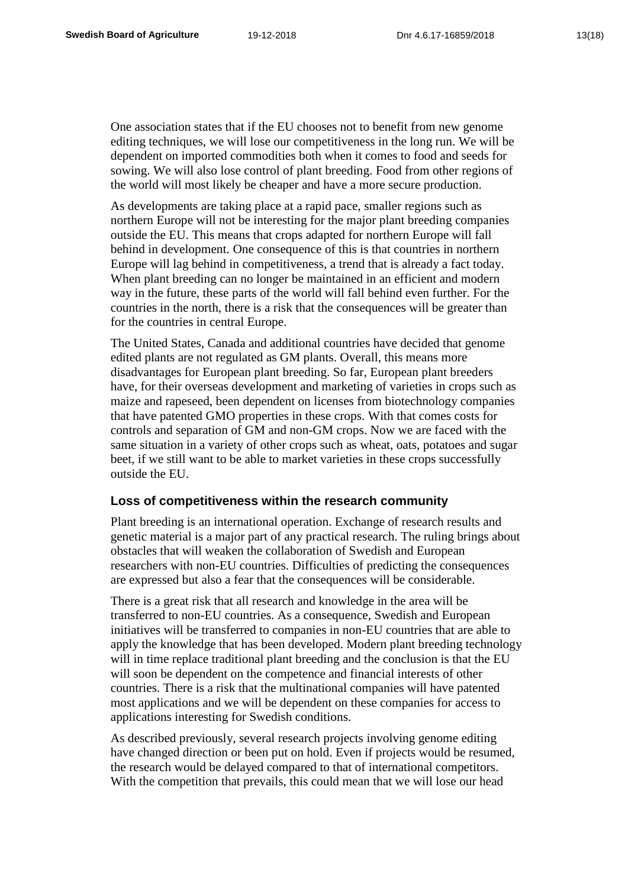One association states that if the EU chooses not to benefit from new genome editing techniques, we will lose our competitiveness in the long run. We will be dependent on imported commodities both when it comes to food and seeds for sowing. We will also lose control of plant breeding. Food from other regions of the world will most likely be cheaper and have a more secure production.

As developments are taking place at a rapid pace, smaller regions such as northern Europe will not be interesting for the major plant breeding companies outside the EU. This means that crops adapted for northern Europe will fall behind in development. One consequence of this is that countries in northern Europe will lag behind in competitiveness, a trend that is already a fact today. When plant breeding can no longer be maintained in an efficient and modern way in the future, these parts of the world will fall behind even further. For the countries in the north, there is a risk that the consequences will be greater than for the countries in central Europe.

The United States, Canada and additional countries have decided that genome edited plants are not regulated as GM plants. Overall, this means more disadvantages for European plant breeding. So far, European plant breeders have, for their overseas development and marketing of varieties in crops such as maize and rapeseed, been dependent on licenses from biotechnology companies that have patented GMO properties in these crops. With that comes costs for controls and separation of GM and non-GM crops. Now we are faced with the same situation in a variety of other crops such as wheat, oats, potatoes and sugar beet, if we still want to be able to market varieties in these crops successfully outside the EU.

## **Loss of competitiveness within the research community**

Plant breeding is an international operation. Exchange of research results and genetic material is a major part of any practical research. The ruling brings about obstacles that will weaken the collaboration of Swedish and European researchers with non-EU countries. Difficulties of predicting the consequences are expressed but also a fear that the consequences will be considerable.

There is a great risk that all research and knowledge in the area will be transferred to non-EU countries. As a consequence, Swedish and European initiatives will be transferred to companies in non-EU countries that are able to apply the knowledge that has been developed. Modern plant breeding technology will in time replace traditional plant breeding and the conclusion is that the EU will soon be dependent on the competence and financial interests of other countries. There is a risk that the multinational companies will have patented most applications and we will be dependent on these companies for access to applications interesting for Swedish conditions.

As described previously, several research projects involving genome editing have changed direction or been put on hold. Even if projects would be resumed, the research would be delayed compared to that of international competitors. With the competition that prevails, this could mean that we will lose our head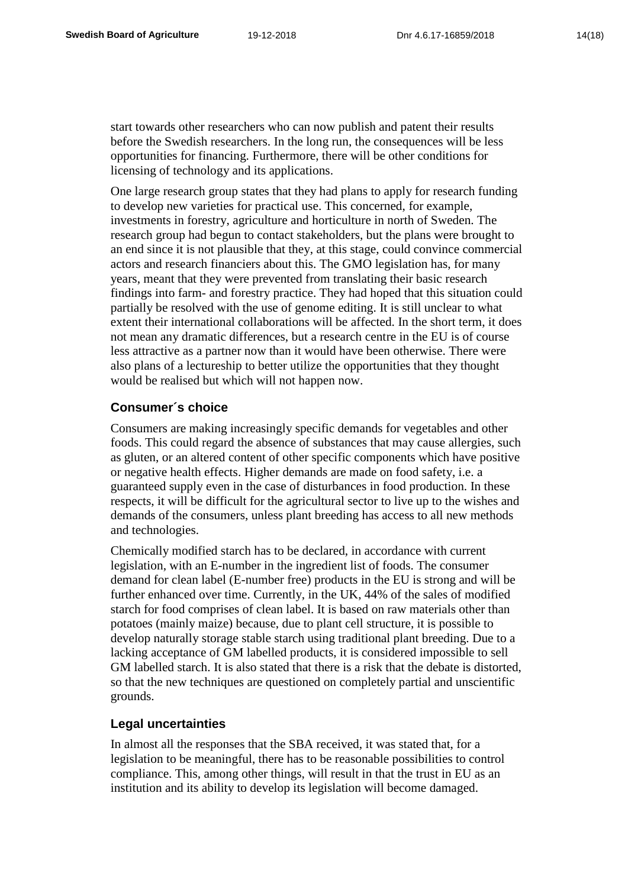start towards other researchers who can now publish and patent their results before the Swedish researchers. In the long run, the consequences will be less opportunities for financing. Furthermore, there will be other conditions for licensing of technology and its applications.

One large research group states that they had plans to apply for research funding to develop new varieties for practical use. This concerned, for example, investments in forestry, agriculture and horticulture in north of Sweden. The research group had begun to contact stakeholders, but the plans were brought to an end since it is not plausible that they, at this stage, could convince commercial actors and research financiers about this. The GMO legislation has, for many years, meant that they were prevented from translating their basic research findings into farm- and forestry practice. They had hoped that this situation could partially be resolved with the use of genome editing. It is still unclear to what extent their international collaborations will be affected. In the short term, it does not mean any dramatic differences, but a research centre in the EU is of course less attractive as a partner now than it would have been otherwise. There were also plans of a lectureship to better utilize the opportunities that they thought would be realised but which will not happen now.

#### **Consumer´s choice**

Consumers are making increasingly specific demands for vegetables and other foods. This could regard the absence of substances that may cause allergies, such as gluten, or an altered content of other specific components which have positive or negative health effects. Higher demands are made on food safety, i.e. a guaranteed supply even in the case of disturbances in food production. In these respects, it will be difficult for the agricultural sector to live up to the wishes and demands of the consumers, unless plant breeding has access to all new methods and technologies.

Chemically modified starch has to be declared, in accordance with current legislation, with an E-number in the ingredient list of foods. The consumer demand for clean label (E-number free) products in the EU is strong and will be further enhanced over time. Currently, in the UK, 44% of the sales of modified starch for food comprises of clean label. It is based on raw materials other than potatoes (mainly maize) because, due to plant cell structure, it is possible to develop naturally storage stable starch using traditional plant breeding. Due to a lacking acceptance of GM labelled products, it is considered impossible to sell GM labelled starch. It is also stated that there is a risk that the debate is distorted, so that the new techniques are questioned on completely partial and unscientific grounds.

## **Legal uncertainties**

In almost all the responses that the SBA received, it was stated that, for a legislation to be meaningful, there has to be reasonable possibilities to control compliance. This, among other things, will result in that the trust in EU as an institution and its ability to develop its legislation will become damaged.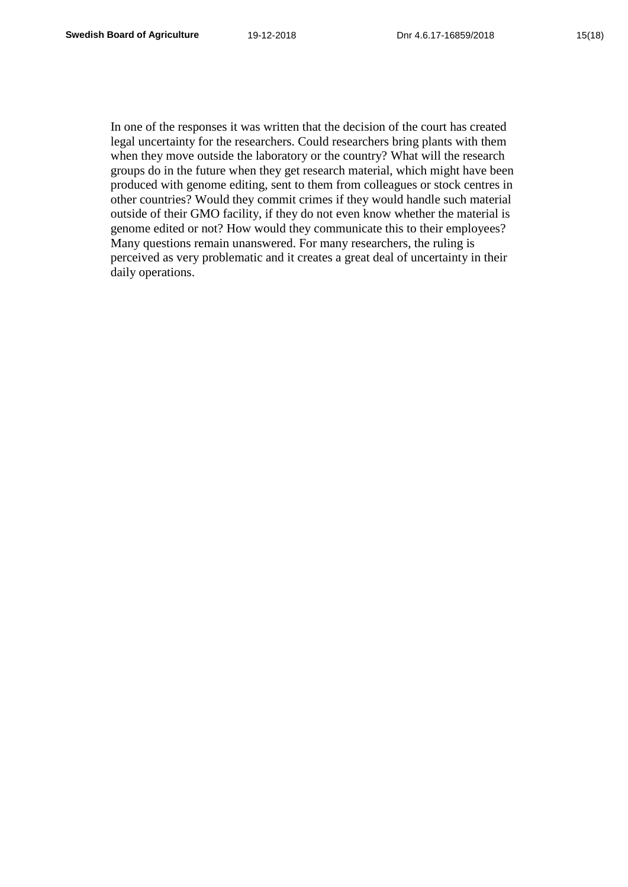In one of the responses it was written that the decision of the court has created legal uncertainty for the researchers. Could researchers bring plants with them when they move outside the laboratory or the country? What will the research groups do in the future when they get research material, which might have been produced with genome editing, sent to them from colleagues or stock centres in other countries? Would they commit crimes if they would handle such material outside of their GMO facility, if they do not even know whether the material is genome edited or not? How would they communicate this to their employees? Many questions remain unanswered. For many researchers, the ruling is perceived as very problematic and it creates a great deal of uncertainty in their daily operations.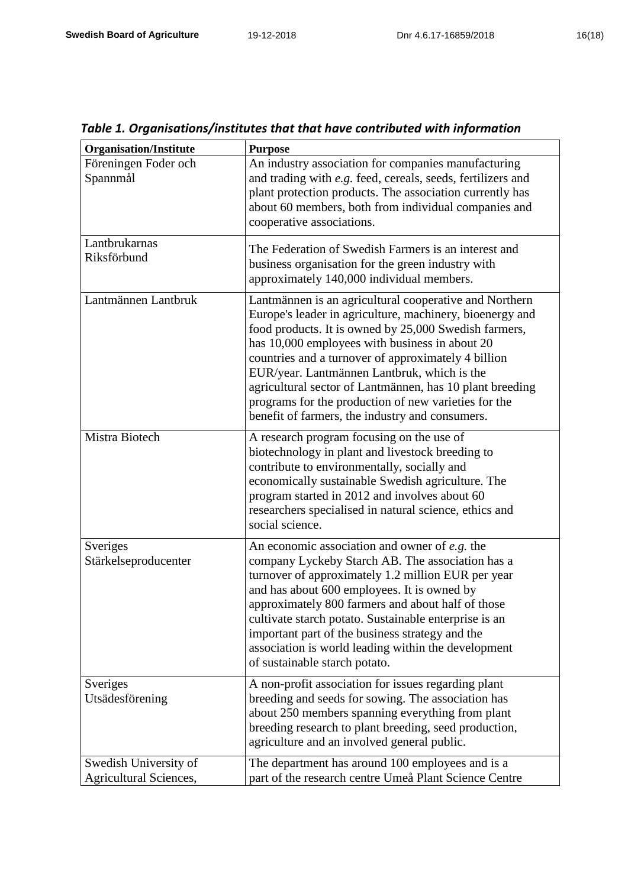| <b>Organisation/Institute</b>                   | <b>Purpose</b>                                                                                                                                                                                                                                                                                                                                                                                                                                                                                             |
|-------------------------------------------------|------------------------------------------------------------------------------------------------------------------------------------------------------------------------------------------------------------------------------------------------------------------------------------------------------------------------------------------------------------------------------------------------------------------------------------------------------------------------------------------------------------|
| Föreningen Foder och<br>Spannmål                | An industry association for companies manufacturing<br>and trading with e.g. feed, cereals, seeds, fertilizers and<br>plant protection products. The association currently has<br>about 60 members, both from individual companies and<br>cooperative associations.                                                                                                                                                                                                                                        |
| Lantbrukarnas<br>Riksförbund                    | The Federation of Swedish Farmers is an interest and<br>business organisation for the green industry with<br>approximately 140,000 individual members.                                                                                                                                                                                                                                                                                                                                                     |
| Lantmännen Lantbruk                             | Lantmännen is an agricultural cooperative and Northern<br>Europe's leader in agriculture, machinery, bioenergy and<br>food products. It is owned by 25,000 Swedish farmers,<br>has 10,000 employees with business in about 20<br>countries and a turnover of approximately 4 billion<br>EUR/year. Lantmännen Lantbruk, which is the<br>agricultural sector of Lantmännen, has 10 plant breeding<br>programs for the production of new varieties for the<br>benefit of farmers, the industry and consumers. |
| Mistra Biotech                                  | A research program focusing on the use of<br>biotechnology in plant and livestock breeding to<br>contribute to environmentally, socially and<br>economically sustainable Swedish agriculture. The<br>program started in 2012 and involves about 60<br>researchers specialised in natural science, ethics and<br>social science.                                                                                                                                                                            |
| Sveriges<br>Stärkelseproducenter                | An economic association and owner of $e.g.$ the<br>company Lyckeby Starch AB. The association has a<br>turnover of approximately 1.2 million EUR per year<br>and has about 600 employees. It is owned by<br>approximately 800 farmers and about half of those<br>cultivate starch potato. Sustainable enterprise is an<br>important part of the business strategy and the<br>association is world leading within the development<br>of sustainable starch potato.                                          |
| Sveriges<br>Utsädesförening                     | A non-profit association for issues regarding plant<br>breeding and seeds for sowing. The association has<br>about 250 members spanning everything from plant<br>breeding research to plant breeding, seed production,<br>agriculture and an involved general public.                                                                                                                                                                                                                                      |
| Swedish University of<br>Agricultural Sciences, | The department has around 100 employees and is a<br>part of the research centre Umeå Plant Science Centre                                                                                                                                                                                                                                                                                                                                                                                                  |

## *Table 1. Organisations/institutes that that have contributed with information*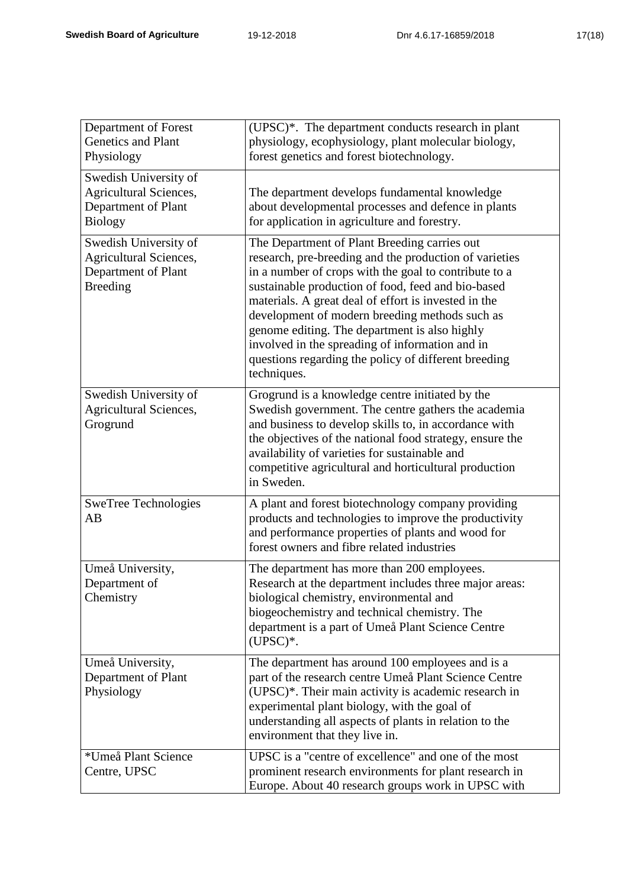|  |  | 17(1 |
|--|--|------|
|  |  |      |

| Department of Forest<br><b>Genetics and Plant</b><br>Physiology                                  | (UPSC)*. The department conducts research in plant<br>physiology, ecophysiology, plant molecular biology,<br>forest genetics and forest biotechnology.                                                                                                                                                                                                                                                                                                                                                     |
|--------------------------------------------------------------------------------------------------|------------------------------------------------------------------------------------------------------------------------------------------------------------------------------------------------------------------------------------------------------------------------------------------------------------------------------------------------------------------------------------------------------------------------------------------------------------------------------------------------------------|
| Swedish University of<br><b>Agricultural Sciences,</b><br>Department of Plant<br><b>Biology</b>  | The department develops fundamental knowledge<br>about developmental processes and defence in plants<br>for application in agriculture and forestry.                                                                                                                                                                                                                                                                                                                                                       |
| Swedish University of<br><b>Agricultural Sciences,</b><br>Department of Plant<br><b>Breeding</b> | The Department of Plant Breeding carries out<br>research, pre-breeding and the production of varieties<br>in a number of crops with the goal to contribute to a<br>sustainable production of food, feed and bio-based<br>materials. A great deal of effort is invested in the<br>development of modern breeding methods such as<br>genome editing. The department is also highly<br>involved in the spreading of information and in<br>questions regarding the policy of different breeding<br>techniques. |
| Swedish University of<br><b>Agricultural Sciences,</b><br>Grogrund                               | Grogrund is a knowledge centre initiated by the<br>Swedish government. The centre gathers the academia<br>and business to develop skills to, in accordance with<br>the objectives of the national food strategy, ensure the<br>availability of varieties for sustainable and<br>competitive agricultural and horticultural production<br>in Sweden.                                                                                                                                                        |
| <b>SweTree Technologies</b><br>AB                                                                | A plant and forest biotechnology company providing<br>products and technologies to improve the productivity<br>and performance properties of plants and wood for<br>forest owners and fibre related industries                                                                                                                                                                                                                                                                                             |
| Umeå University,<br>Department of<br>Chemistry                                                   | The department has more than 200 employees.<br>Research at the department includes three major areas:<br>biological chemistry, environmental and<br>biogeochemistry and technical chemistry. The<br>department is a part of Umeå Plant Science Centre<br>$(UPSC)*$ .                                                                                                                                                                                                                                       |
| Umeå University,<br>Department of Plant<br>Physiology                                            | The department has around 100 employees and is a<br>part of the research centre Umeå Plant Science Centre<br>(UPSC)*. Their main activity is academic research in<br>experimental plant biology, with the goal of<br>understanding all aspects of plants in relation to the<br>environment that they live in.                                                                                                                                                                                              |
| *Umeå Plant Science<br>Centre, UPSC                                                              | UPSC is a "centre of excellence" and one of the most<br>prominent research environments for plant research in<br>Europe. About 40 research groups work in UPSC with                                                                                                                                                                                                                                                                                                                                        |